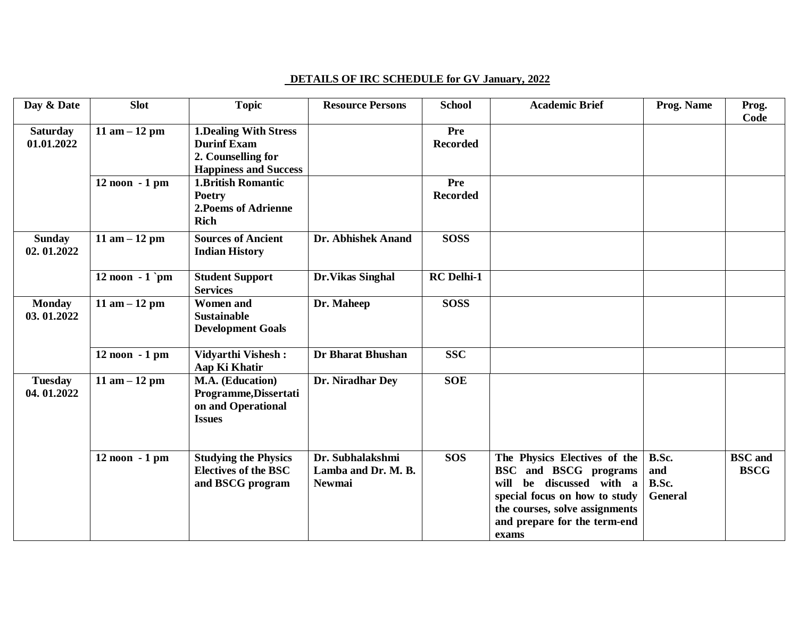## **DETAILS OF IRC SCHEDULE for GV January, 2022**

| Day & Date                    | <b>Slot</b>       | <b>Topic</b>                                                                                             | <b>Resource Persons</b>                                  | <b>School</b>          | <b>Academic Brief</b>                                                                                                                                                                                          | Prog. Name                              | Prog.<br>Code                 |
|-------------------------------|-------------------|----------------------------------------------------------------------------------------------------------|----------------------------------------------------------|------------------------|----------------------------------------------------------------------------------------------------------------------------------------------------------------------------------------------------------------|-----------------------------------------|-------------------------------|
| <b>Saturday</b><br>01.01.2022 | 11 am $-12$ pm    | <b>1.Dealing With Stress</b><br><b>Durinf Exam</b><br>2. Counselling for<br><b>Happiness and Success</b> |                                                          | Pre<br><b>Recorded</b> |                                                                                                                                                                                                                |                                         |                               |
|                               | $12$ noon $-1$ pm | <b>1.British Romantic</b><br><b>Poetry</b><br>2. Poems of Adrienne<br><b>Rich</b>                        |                                                          | Pre<br><b>Recorded</b> |                                                                                                                                                                                                                |                                         |                               |
| <b>Sunday</b><br>02.01.2022   | 11 am $-12$ pm    | <b>Sources of Ancient</b><br><b>Indian History</b>                                                       | Dr. Abhishek Anand                                       | <b>SOSS</b>            |                                                                                                                                                                                                                |                                         |                               |
|                               | 12 noon $-1$ pm   | <b>Student Support</b><br><b>Services</b>                                                                | Dr. Vikas Singhal                                        | <b>RC</b> Delhi-1      |                                                                                                                                                                                                                |                                         |                               |
| <b>Monday</b><br>03.01.2022   | 11 am $-12$ pm    | <b>Women and</b><br><b>Sustainable</b><br><b>Development Goals</b>                                       | Dr. Maheep                                               | <b>SOSS</b>            |                                                                                                                                                                                                                |                                         |                               |
|                               | $12$ noon $-1$ pm | <b>Vidyarthi Vishesh:</b><br>Aap Ki Khatir                                                               | <b>Dr Bharat Bhushan</b>                                 | <b>SSC</b>             |                                                                                                                                                                                                                |                                         |                               |
| <b>Tuesday</b><br>04.01.2022  | 11 am $-12$ pm    | M.A. (Education)<br>Programme, Dissertati<br>on and Operational<br><b>Issues</b>                         | Dr. Niradhar Dey                                         | <b>SOE</b>             |                                                                                                                                                                                                                |                                         |                               |
|                               | $12$ noon $-1$ pm | <b>Studying the Physics</b><br><b>Electives of the BSC</b><br>and BSCG program                           | Dr. Subhalakshmi<br>Lamba and Dr. M. B.<br><b>Newmai</b> | <b>SOS</b>             | The Physics Electives of the<br><b>BSC</b> and <b>BSCG</b> programs<br>be discussed with a<br>will<br>special focus on how to study<br>the courses, solve assignments<br>and prepare for the term-end<br>exams | B.Sc.<br>and<br>B.Sc.<br><b>General</b> | <b>BSC</b> and<br><b>BSCG</b> |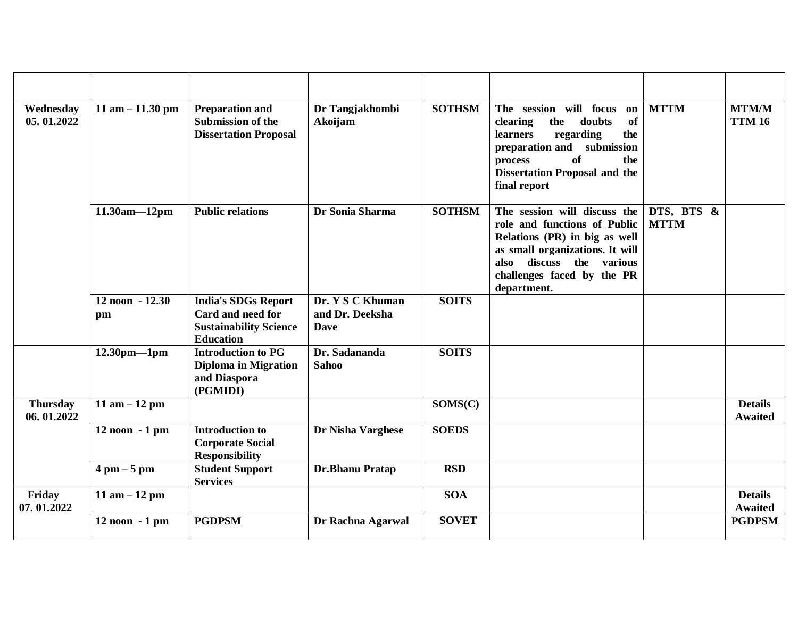| Wednesday<br>05.01.2022       | 11 am $- 11.30$ pm            | <b>Preparation and</b><br><b>Submission of the</b><br><b>Dissertation Proposal</b>                   | Dr Tangjakhombi<br>Akoijam                         | <b>SOTHSM</b> | The session will focus<br>on<br>clearing<br>the<br>doubts<br>of<br>regarding<br>the<br><b>learners</b><br>submission<br>preparation and<br>of<br>the<br>process<br><b>Dissertation Proposal and the</b><br>final report | <b>MTTM</b>               | <b>MTM/M</b><br><b>TTM 16</b>    |
|-------------------------------|-------------------------------|------------------------------------------------------------------------------------------------------|----------------------------------------------------|---------------|-------------------------------------------------------------------------------------------------------------------------------------------------------------------------------------------------------------------------|---------------------------|----------------------------------|
|                               | $11.30am - 12pm$              | <b>Public relations</b>                                                                              | Dr Sonia Sharma                                    | <b>SOTHSM</b> | The session will discuss the<br>role and functions of Public<br>Relations (PR) in big as well<br>as small organizations. It will<br>also discuss the various<br>challenges faced by the PR<br>department.               | DTS, BTS &<br><b>MTTM</b> |                                  |
|                               | 12 noon - 12.30<br>pm         | <b>India's SDGs Report</b><br>Card and need for<br><b>Sustainability Science</b><br><b>Education</b> | Dr. Y S C Khuman<br>and Dr. Deeksha<br><b>Dave</b> | <b>SOITS</b>  |                                                                                                                                                                                                                         |                           |                                  |
|                               | $12.30$ pm—1pm                | <b>Introduction to PG</b><br><b>Diploma in Migration</b><br>and Diaspora<br>(PGMIDI)                 | Dr. Sadananda<br><b>Sahoo</b>                      | <b>SOITS</b>  |                                                                                                                                                                                                                         |                           |                                  |
| <b>Thursday</b><br>06.01.2022 | 11 am $-12$ pm                |                                                                                                      |                                                    | SOMS(C)       |                                                                                                                                                                                                                         |                           | <b>Details</b><br><b>Awaited</b> |
|                               | $12$ noon $-1$ pm             | <b>Introduction to</b><br><b>Corporate Social</b><br><b>Responsibility</b>                           | Dr Nisha Varghese                                  | <b>SOEDS</b>  |                                                                                                                                                                                                                         |                           |                                  |
|                               | $4 \text{ pm} - 5 \text{ pm}$ | <b>Student Support</b><br><b>Services</b>                                                            | Dr.Bhanu Pratap                                    | <b>RSD</b>    |                                                                                                                                                                                                                         |                           |                                  |
| Friday<br>07.01.2022          | 11 am $-12$ pm                |                                                                                                      |                                                    | <b>SOA</b>    |                                                                                                                                                                                                                         |                           | <b>Details</b><br><b>Awaited</b> |
|                               | $12$ noon $-1$ pm             | <b>PGDPSM</b>                                                                                        | Dr Rachna Agarwal                                  | <b>SOVET</b>  |                                                                                                                                                                                                                         |                           | <b>PGDPSM</b>                    |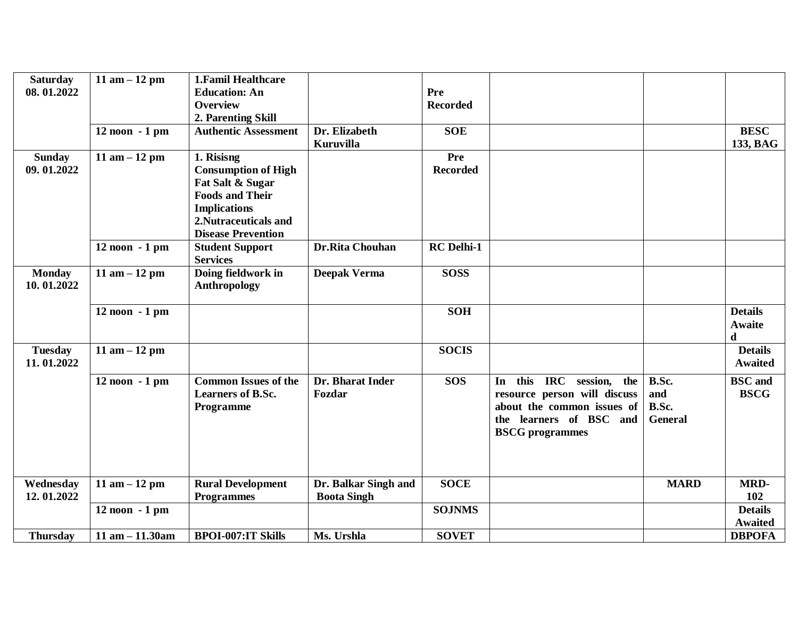| <b>Saturday</b> | $11$ am $-12$ pm     | <b>1. Famil Healthcare</b>  |                      |                   |                                |                |                |
|-----------------|----------------------|-----------------------------|----------------------|-------------------|--------------------------------|----------------|----------------|
| 08.01.2022      |                      | <b>Education: An</b>        |                      | Pre               |                                |                |                |
|                 |                      | <b>Overview</b>             |                      | <b>Recorded</b>   |                                |                |                |
|                 |                      | 2. Parenting Skill          |                      |                   |                                |                |                |
|                 | 12 noon - 1 pm       | <b>Authentic Assessment</b> | Dr. Elizabeth        | <b>SOE</b>        |                                |                | <b>BESC</b>    |
|                 |                      |                             | Kuruvilla            |                   |                                |                | 133, BAG       |
| <b>Sunday</b>   | 11 am $-12$ pm       | $\overline{1}$ . Risisng    |                      | Pre               |                                |                |                |
| 09.01.2022      |                      | <b>Consumption of High</b>  |                      | <b>Recorded</b>   |                                |                |                |
|                 |                      | Fat Salt & Sugar            |                      |                   |                                |                |                |
|                 |                      | <b>Foods and Their</b>      |                      |                   |                                |                |                |
|                 |                      | <b>Implications</b>         |                      |                   |                                |                |                |
|                 |                      | 2. Nutraceuticals and       |                      |                   |                                |                |                |
|                 |                      | <b>Disease Prevention</b>   |                      |                   |                                |                |                |
|                 | 12 noon - 1 pm       | <b>Student Support</b>      | Dr.Rita Chouhan      | <b>RC</b> Delhi-1 |                                |                |                |
|                 |                      | <b>Services</b>             |                      |                   |                                |                |                |
| <b>Monday</b>   | 11 am $-12$ pm       | Doing fieldwork in          | <b>Deepak Verma</b>  | <b>SOSS</b>       |                                |                |                |
| 10.01.2022      |                      | Anthropology                |                      |                   |                                |                |                |
|                 |                      |                             |                      |                   |                                |                |                |
|                 | 12 noon - 1 pm       |                             |                      | <b>SOH</b>        |                                |                | <b>Details</b> |
|                 |                      |                             |                      |                   |                                |                | Awaite         |
|                 |                      |                             |                      |                   |                                |                | d              |
| <b>Tuesday</b>  |                      |                             |                      | <b>SOCIS</b>      |                                |                | <b>Details</b> |
| 11.01.2022      | $11$ am $-12$ pm     |                             |                      |                   |                                |                | <b>Awaited</b> |
|                 |                      |                             |                      |                   |                                |                |                |
|                 | 12 noon - 1 pm       | <b>Common Issues of the</b> | Dr. Bharat Inder     | <b>SOS</b>        | this IRC session,<br>the<br>In | B.Sc.          | <b>BSC</b> and |
|                 |                      | <b>Learners of B.Sc.</b>    | Fozdar               |                   | resource person will discuss   | and            | <b>BSCG</b>    |
|                 |                      | Programme                   |                      |                   | about the common issues of     | B.Sc.          |                |
|                 |                      |                             |                      |                   | the learners of BSC and        | <b>General</b> |                |
|                 |                      |                             |                      |                   | <b>BSCG</b> programmes         |                |                |
|                 |                      |                             |                      |                   |                                |                |                |
|                 |                      |                             |                      |                   |                                |                |                |
|                 |                      |                             |                      |                   |                                |                |                |
| Wednesday       | 11 am $-12$ pm       | <b>Rural Development</b>    | Dr. Balkar Singh and | <b>SOCE</b>       |                                | <b>MARD</b>    | MRD-           |
| 12.01.2022      |                      | <b>Programmes</b>           | <b>Boota Singh</b>   |                   |                                |                | 102            |
|                 | $12$ noon $-1$ pm    |                             |                      | <b>SOJNMS</b>     |                                |                | <b>Details</b> |
|                 |                      |                             |                      |                   |                                |                | <b>Awaited</b> |
| <b>Thursday</b> | $11$ am $- 11.30$ am | <b>BPOI-007:IT Skills</b>   | Ms. Urshla           | <b>SOVET</b>      |                                |                | <b>DBPOFA</b>  |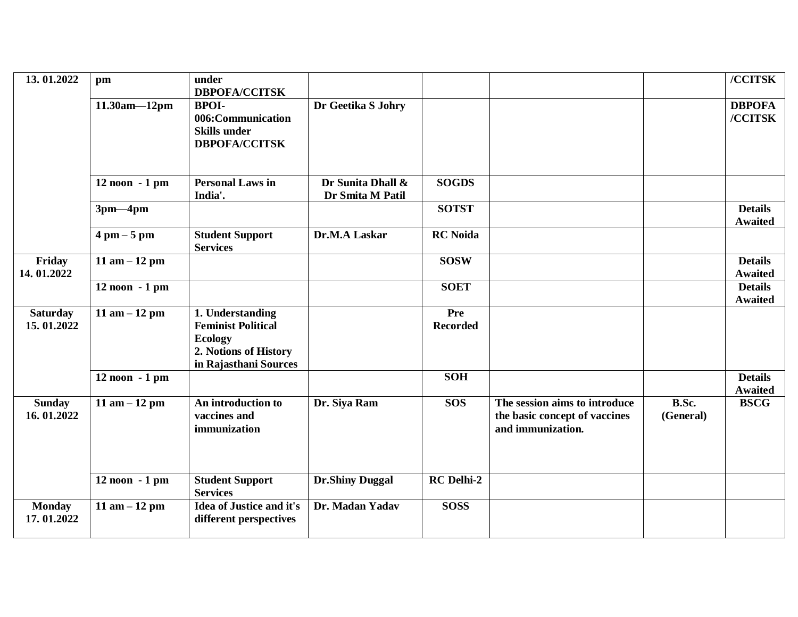| 13.01.2022                    | pm                            | under<br><b>DBPOFA/CCITSK</b>                                                                                     |                                       |                        |                                                                                     |                    | /CCITSK                          |
|-------------------------------|-------------------------------|-------------------------------------------------------------------------------------------------------------------|---------------------------------------|------------------------|-------------------------------------------------------------------------------------|--------------------|----------------------------------|
|                               | $11.30am - 12pm$              | <b>BPOI-</b><br>006:Communication<br><b>Skills under</b><br><b>DBPOFA/CCITSK</b>                                  | Dr Geetika S Johry                    |                        |                                                                                     |                    | <b>DBPOFA</b><br>/CCITSK         |
|                               | 12 noon - 1 pm                | <b>Personal Laws in</b><br>India'.                                                                                | Dr Sunita Dhall &<br>Dr Smita M Patil | <b>SOGDS</b>           |                                                                                     |                    |                                  |
|                               | $3pm-4pm$                     |                                                                                                                   |                                       | <b>SOTST</b>           |                                                                                     |                    | <b>Details</b><br><b>Awaited</b> |
|                               | $4 \text{ pm} - 5 \text{ pm}$ | <b>Student Support</b><br><b>Services</b>                                                                         | Dr.M.A Laskar                         | <b>RC</b> Noida        |                                                                                     |                    |                                  |
| Friday<br>14.01.2022          | 11 am $-12$ pm                |                                                                                                                   |                                       | <b>SOSW</b>            |                                                                                     |                    | <b>Details</b><br><b>Awaited</b> |
|                               | $12$ noon $-1$ pm             |                                                                                                                   |                                       | <b>SOET</b>            |                                                                                     |                    | <b>Details</b><br><b>Awaited</b> |
| <b>Saturday</b><br>15.01.2022 | 11 am $-12$ pm                | 1. Understanding<br><b>Feminist Political</b><br><b>Ecology</b><br>2. Notions of History<br>in Rajasthani Sources |                                       | Pre<br><b>Recorded</b> |                                                                                     |                    |                                  |
|                               | 12 noon - 1 pm                |                                                                                                                   |                                       | <b>SOH</b>             |                                                                                     |                    | <b>Details</b><br><b>Awaited</b> |
| <b>Sunday</b><br>16.01.2022   | 11 am $-12$ pm                | An introduction to<br>vaccines and<br>immunization                                                                | Dr. Siya Ram                          | <b>SOS</b>             | The session aims to introduce<br>the basic concept of vaccines<br>and immunization. | B.Sc.<br>(General) | <b>BSCG</b>                      |
|                               | $12$ noon $-1$ pm             | <b>Student Support</b><br><b>Services</b>                                                                         | <b>Dr.Shiny Duggal</b>                | <b>RC</b> Delhi-2      |                                                                                     |                    |                                  |
| <b>Monday</b><br>17.01.2022   | 11 am $-12$ pm                | <b>Idea of Justice and it's</b><br>different perspectives                                                         | Dr. Madan Yadav                       | <b>SOSS</b>            |                                                                                     |                    |                                  |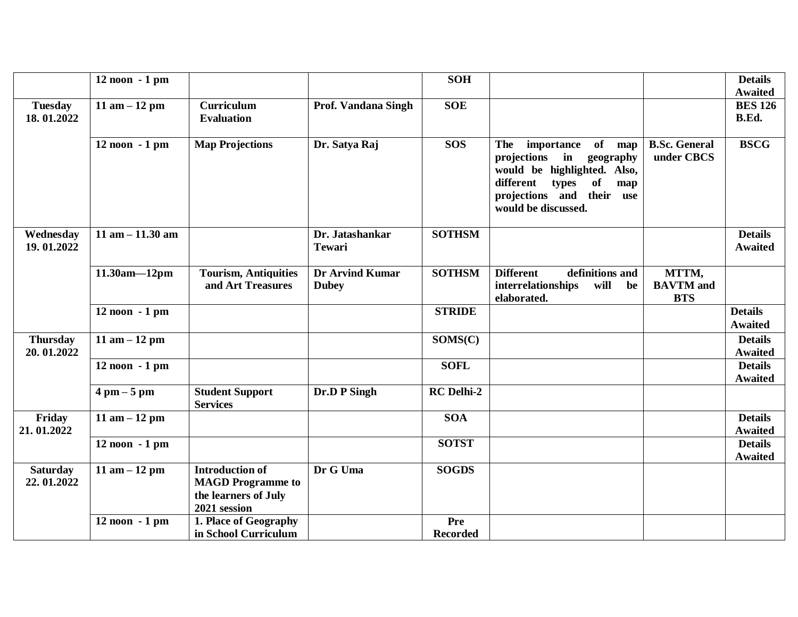|                               | 12 noon - 1 pm                |                                                                                                                     |                                        | <b>SOH</b>        |                                                                                                                                                                                  |                                         | <b>Details</b>                   |
|-------------------------------|-------------------------------|---------------------------------------------------------------------------------------------------------------------|----------------------------------------|-------------------|----------------------------------------------------------------------------------------------------------------------------------------------------------------------------------|-----------------------------------------|----------------------------------|
|                               |                               |                                                                                                                     |                                        |                   |                                                                                                                                                                                  |                                         | <b>Awaited</b>                   |
| <b>Tuesday</b>                | 11 am $-12$ pm                | Curriculum                                                                                                          | Prof. Vandana Singh                    | <b>SOE</b>        |                                                                                                                                                                                  |                                         | <b>BES 126</b>                   |
| 18.01.2022                    |                               | <b>Evaluation</b>                                                                                                   |                                        |                   |                                                                                                                                                                                  |                                         | B.Ed.                            |
|                               | 12 noon - 1 pm                | <b>Map Projections</b>                                                                                              | Dr. Satya Raj                          | <b>SOS</b>        | of map<br>importance<br>The<br>projections in<br>geography<br>would be highlighted. Also,<br>types<br>of<br>different<br>map<br>projections and their use<br>would be discussed. | <b>B.Sc. General</b><br>under CBCS      | <b>BSCG</b>                      |
| Wednesday<br>19.01.2022       | 11 am $- 11.30$ am            |                                                                                                                     | Dr. Jatashankar<br><b>Tewari</b>       | <b>SOTHSM</b>     |                                                                                                                                                                                  |                                         | <b>Details</b><br><b>Awaited</b> |
|                               | $11.30am - 12pm$              | <b>Tourism, Antiquities</b><br>and Art Treasures                                                                    | <b>Dr Arvind Kumar</b><br><b>Dubey</b> | <b>SOTHSM</b>     | definitions and<br><b>Different</b><br>will<br>interrelationships<br>be<br>elaborated.                                                                                           | MTTM,<br><b>BAVTM</b> and<br><b>BTS</b> |                                  |
|                               | $12$ noon $-1$ pm             |                                                                                                                     |                                        | <b>STRIDE</b>     |                                                                                                                                                                                  |                                         | <b>Details</b><br><b>Awaited</b> |
| <b>Thursday</b><br>20.01.2022 | 11 am $-12$ pm                |                                                                                                                     |                                        | SOMS(C)           |                                                                                                                                                                                  |                                         | <b>Details</b><br><b>Awaited</b> |
|                               | $12$ noon $-1$ pm             |                                                                                                                     |                                        | <b>SOFL</b>       |                                                                                                                                                                                  |                                         | <b>Details</b><br><b>Awaited</b> |
|                               | $4 \text{ pm} - 5 \text{ pm}$ |                                                                                                                     |                                        |                   |                                                                                                                                                                                  |                                         |                                  |
|                               |                               | <b>Student Support</b><br><b>Services</b>                                                                           | Dr.D P Singh                           | <b>RC</b> Delhi-2 |                                                                                                                                                                                  |                                         |                                  |
| Friday<br>21.01.2022          | 11 am $-12$ pm                |                                                                                                                     |                                        | <b>SOA</b>        |                                                                                                                                                                                  |                                         | <b>Details</b><br><b>Awaited</b> |
|                               | $12$ noon $-1$ pm             |                                                                                                                     |                                        | <b>SOTST</b>      |                                                                                                                                                                                  |                                         | <b>Details</b><br><b>Awaited</b> |
| <b>Saturday</b><br>22.01.2022 | 11 am $-12$ pm                | <b>Introduction of</b><br><b>MAGD</b> Programme to<br>the learners of July<br>2021 session<br>1. Place of Geography | Dr G Uma                               | <b>SOGDS</b>      |                                                                                                                                                                                  |                                         |                                  |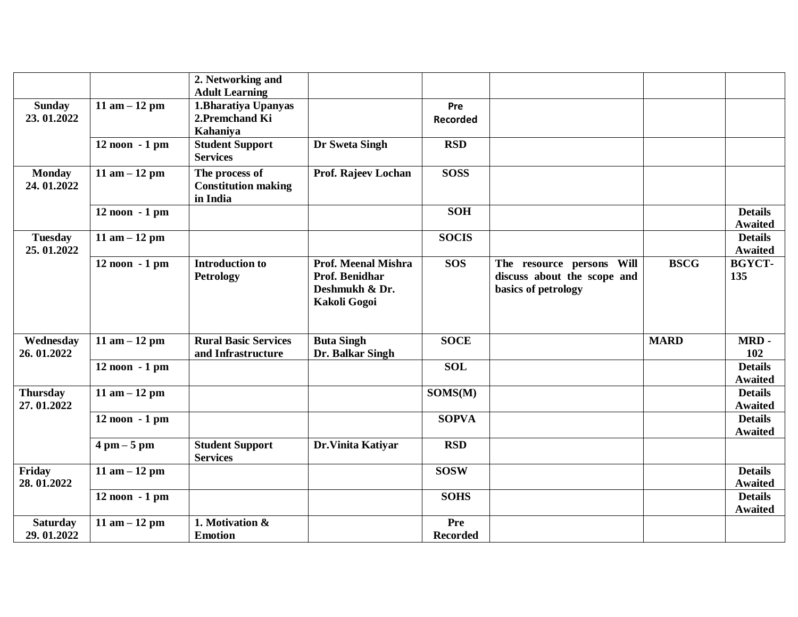|                             |                               | 2. Networking and                         |                                              |                        |                                                          |             |                                  |
|-----------------------------|-------------------------------|-------------------------------------------|----------------------------------------------|------------------------|----------------------------------------------------------|-------------|----------------------------------|
|                             |                               | <b>Adult Learning</b>                     |                                              |                        |                                                          |             |                                  |
| <b>Sunday</b><br>23.01.2022 | 11 am $-12$ pm                | 1. Bharatiya Upanyas<br>2. Premchand Ki   |                                              | Pre<br><b>Recorded</b> |                                                          |             |                                  |
|                             |                               | Kahaniya                                  |                                              |                        |                                                          |             |                                  |
|                             | $12$ noon $-1$ pm             | <b>Student Support</b>                    | Dr Sweta Singh                               | <b>RSD</b>             |                                                          |             |                                  |
|                             |                               | <b>Services</b>                           |                                              |                        |                                                          |             |                                  |
| <b>Monday</b>               | 11 am $-12$ pm                | The process of                            | Prof. Rajeev Lochan                          | <b>SOSS</b>            |                                                          |             |                                  |
| 24.01.2022                  |                               | <b>Constitution making</b><br>in India    |                                              |                        |                                                          |             |                                  |
|                             | 12 noon - 1 pm                |                                           |                                              | <b>SOH</b>             |                                                          |             | <b>Details</b>                   |
|                             |                               |                                           |                                              |                        |                                                          |             | <b>Awaited</b>                   |
| <b>Tuesday</b>              | 11 am $-12$ pm                |                                           |                                              | <b>SOCIS</b>           |                                                          |             | <b>Details</b>                   |
| 25.01.2022                  |                               |                                           |                                              |                        |                                                          |             | <b>Awaited</b>                   |
|                             | 12 noon - 1 pm                | <b>Introduction to</b>                    | <b>Prof. Meenal Mishra</b><br>Prof. Benidhar | <b>SOS</b>             | The resource persons Will<br>discuss about the scope and | <b>BSCG</b> | <b>BGYCT-</b><br>135             |
|                             |                               | <b>Petrology</b>                          | Deshmukh & Dr.                               |                        | basics of petrology                                      |             |                                  |
|                             |                               |                                           | Kakoli Gogoi                                 |                        |                                                          |             |                                  |
|                             |                               |                                           |                                              |                        |                                                          |             |                                  |
|                             |                               |                                           |                                              |                        |                                                          |             |                                  |
| Wednesday                   | 11 am $-12$ pm                | <b>Rural Basic Services</b>               | <b>Buta Singh</b>                            | <b>SOCE</b>            |                                                          | <b>MARD</b> | MRD-                             |
| 26.01.2022                  |                               | and Infrastructure                        | Dr. Balkar Singh                             |                        |                                                          |             | 102                              |
|                             | $12$ noon $-1$ pm             |                                           |                                              | <b>SOL</b>             |                                                          |             | <b>Details</b><br><b>Awaited</b> |
| <b>Thursday</b>             | 11 am $-12$ pm                |                                           |                                              | SOMS(M)                |                                                          |             | <b>Details</b>                   |
| 27.01.2022                  |                               |                                           |                                              |                        |                                                          |             | <b>Awaited</b>                   |
|                             | $12$ noon $-1$ pm             |                                           |                                              | <b>SOPVA</b>           |                                                          |             | <b>Details</b>                   |
|                             |                               |                                           |                                              |                        |                                                          |             | <b>Awaited</b>                   |
|                             | $4 \text{ pm} - 5 \text{ pm}$ | <b>Student Support</b><br><b>Services</b> | Dr. Vinita Katiyar                           | <b>RSD</b>             |                                                          |             |                                  |
| Friday                      | 11 am $-12$ pm                |                                           |                                              | <b>SOSW</b>            |                                                          |             | <b>Details</b>                   |
| 28.01.2022                  |                               |                                           |                                              |                        |                                                          |             | <b>Awaited</b>                   |
|                             | $12$ noon $-1$ pm             |                                           |                                              | <b>SOHS</b>            |                                                          |             | <b>Details</b>                   |
|                             |                               |                                           |                                              |                        |                                                          |             | <b>Awaited</b>                   |
| <b>Saturday</b>             | 11 am $-12$ pm                | 1. Motivation &                           |                                              | Pre                    |                                                          |             |                                  |
| 29.01.2022                  |                               | <b>Emotion</b>                            |                                              | <b>Recorded</b>        |                                                          |             |                                  |